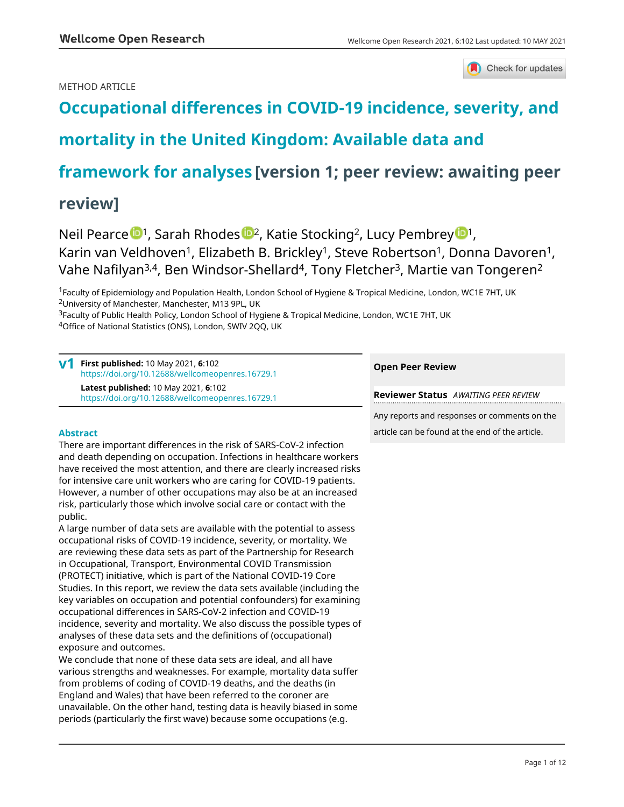# METHOD ARTICLE



# **[Occupational differences in COVID-19 incidence, severity, and](https://wellcomeopenresearch.org/articles/6-102/v1)**

# **[mortality in the United Kingdom: Available data and](https://wellcomeopenresearch.org/articles/6-102/v1)**

# **[framework for analyses](https://wellcomeopenresearch.org/articles/6-102/v1) [version 1; peer review: awaiting peer**

# **review]**

N[e](https://orcid.org/0000-0002-9938-7852)il Pearce <sup>1</sup>, Sarah Rhodes <sup>1,</sup> Katie Stocking<sup>2</sup>, Lucy Pembrey <sup>1</sup>, Karin van Veldhoven<sup>1</sup>, Elizabeth B. Brickley<sup>1</sup>, Steve Robertson<sup>1</sup>, Donna Davoren<sup>1</sup>, Vahe Nafilyan3,4, Ben Windsor-Shellard<sup>4</sup>, Tony Fletcher<sup>3</sup>, Martie van Tongeren<sup>2</sup>

<sup>1</sup>Faculty of Epidemiology and Population Health, London School of Hygiene & Tropical Medicine, London, WC1E 7HT, UK <sup>2</sup>University of Manchester, Manchester, M13 9PL, UK

<sup>3</sup>Faculty of Public Health Policy, London School of Hygiene & Tropical Medicine, London, WC1E 7HT, UK <sup>4</sup>Office of National Statistics (ONS), London, SWIV 2QQ, UK

**First published:** 10 May 2021, **6**:102 **v1** <https://doi.org/10.12688/wellcomeopenres.16729.1> **Latest published:** 10 May 2021, **6**:102 <https://doi.org/10.12688/wellcomeopenres.16729.1>

# **Abstract**

There are important differences in the risk of SARS-CoV-2 infection and death depending on occupation. Infections in healthcare workers have received the most attention, and there are clearly increased risks for intensive care unit workers who are caring for COVID-19 patients. However, a number of other occupations may also be at an increased risk, particularly those which involve social care or contact with the public.

A large number of data sets are available with the potential to assess occupational risks of COVID-19 incidence, severity, or mortality. We are reviewing these data sets as part of the Partnership for Research in Occupational, Transport, Environmental COVID Transmission (PROTECT) initiative, which is part of the National COVID-19 Core Studies. In this report, we review the data sets available (including the key variables on occupation and potential confounders) for examining occupational differences in SARS-CoV-2 infection and COVID-19 incidence, severity and mortality. We also discuss the possible types of analyses of these data sets and the definitions of (occupational) exposure and outcomes.

We conclude that none of these data sets are ideal, and all have various strengths and weaknesses. For example, mortality data suffer from problems of coding of COVID-19 deaths, and the deaths (in England and Wales) that have been referred to the coroner are unavailable. On the other hand, testing data is heavily biased in some periods (particularly the first wave) because some occupations (e.g.

# **Open Peer Review**

**Reviewer Status** *AWAITING PEER REVIEW*

Any reports and responses or comments on the article can be found at the end of the article.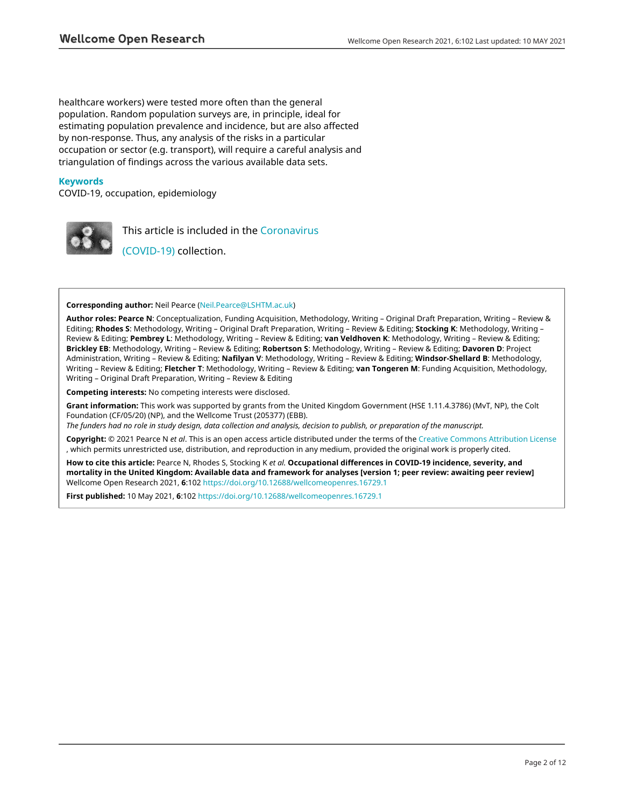healthcare workers) were tested more often than the general population. Random population surveys are, in principle, ideal for estimating population prevalence and incidence, but are also affected by non-response. Thus, any analysis of the risks in a particular occupation or sector (e.g. transport), will require a careful analysis and triangulation of findings across the various available data sets.

# **Keywords**

COVID-19, occupation, epidemiology



This article is included in the [Coronavirus](https://wellcomeopenresearch.org/collections/covid19)

[\(COVID-19\)](https://wellcomeopenresearch.org/collections/covid19) collection.

#### **Corresponding author:** Neil Pearce [\(Neil.Pearce@LSHTM.ac.uk\)](mailto:Neil.Pearce@LSHTM.ac.uk)

**Author roles: Pearce N**: Conceptualization, Funding Acquisition, Methodology, Writing – Original Draft Preparation, Writing – Review & Editing; **Rhodes S**: Methodology, Writing – Original Draft Preparation, Writing – Review & Editing; **Stocking K**: Methodology, Writing – Review & Editing; **Pembrey L**: Methodology, Writing – Review & Editing; **van Veldhoven K**: Methodology, Writing – Review & Editing; **Brickley EB**: Methodology, Writing – Review & Editing; **Robertson S**: Methodology, Writing – Review & Editing; **Davoren D**: Project Administration, Writing – Review & Editing; **Nafilyan V**: Methodology, Writing – Review & Editing; **Windsor-Shellard B**: Methodology, Writing – Review & Editing; **Fletcher T**: Methodology, Writing – Review & Editing; **van Tongeren M**: Funding Acquisition, Methodology, Writing – Original Draft Preparation, Writing – Review & Editing

**Competing interests:** No competing interests were disclosed.

**Grant information:** This work was supported by grants from the United Kingdom Government (HSE 1.11.4.3786) (MvT, NP), the Colt Foundation (CF/05/20) (NP), and the Wellcome Trust (205377) (EBB).

*The funders had no role in study design, data collection and analysis, decision to publish, or preparation of the manuscript.*

**Copyright:** © 2021 Pearce N *et al*. This is an open access article distributed under the terms of the [Creative Commons Attribution License](http://creativecommons.org/licenses/by/4.0/) , which permits unrestricted use, distribution, and reproduction in any medium, provided the original work is properly cited.

**How to cite this article:** Pearce N, Rhodes S, Stocking K *et al.* **Occupational differences in COVID-19 incidence, severity, and mortality in the United Kingdom: Available data and framework for analyses [version 1; peer review: awaiting peer review]** Wellcome Open Research 2021, **6**:102<https://doi.org/10.12688/wellcomeopenres.16729.1>

**First published:** 10 May 2021, **6**:102<https://doi.org/10.12688/wellcomeopenres.16729.1>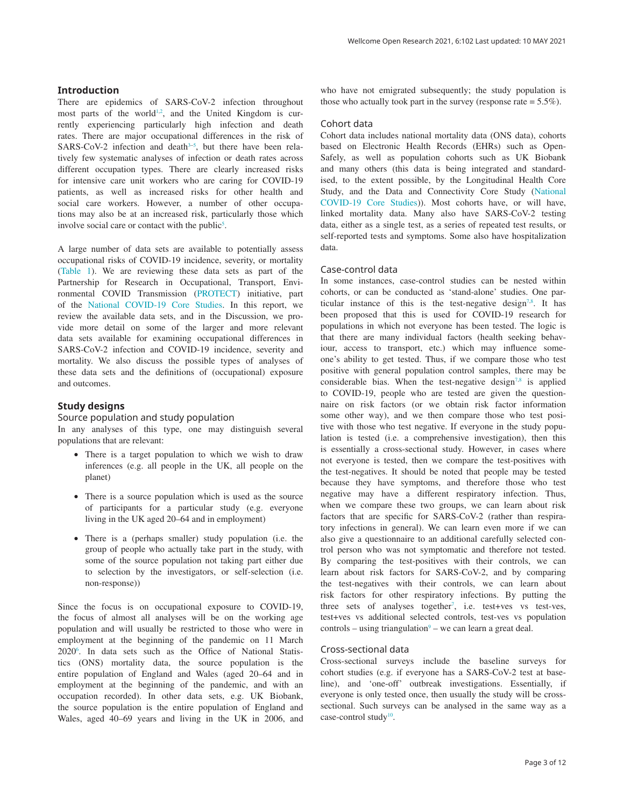# **Introduction**

There are epidemics of SARS-CoV-2 infection throughout most parts of the world<sup>1,2</sup>, and the United Kingdom is currently experiencing particularly high infection and death rates. There are major occupational differences in the risk of  $SARS-CoV-2$  infection and death<sup>3-5</sup>, but there have been relatively few systematic analyses of infection or death rates across different occupation types. There are clearly increased risks for intensive care unit workers who are caring for COVID-19 patients, as well as increased risks for other health and social care workers. However, a number of other occupations may also be at an increased risk, particularly those which involve social care or contact with the public<sup>[5](#page-11-0)</sup>.

A large number of data sets are available to potentially assess occupational risks of COVID-19 incidence, severity, or mortality ([Table 1\)](#page-3-0). We are reviewing these data sets as part of the Partnership for Research in Occupational, Transport, Environmental COVID Transmission [\(PROTECT\)](https://sites.manchester.ac.uk/covid19-national-project/) initiative, part of the [National COVID-19 Core Studies](https://www.hdruk.ac.uk/covid-19/covid-19-national-core-studies). In this report, we review the available data sets, and in the Discussion, we provide more detail on some of the larger and more relevant data sets available for examining occupational differences in SARS-CoV-2 infection and COVID-19 incidence, severity and mortality. We also discuss the possible types of analyses of these data sets and the definitions of (occupational) exposure and outcomes.

## **Study designs**

# Source population and study population

In any analyses of this type, one may distinguish several populations that are relevant:

- There is a target population to which we wish to draw inferences (e.g. all people in the UK, all people on the planet)
- There is a source population which is used as the source of participants for a particular study (e.g. everyone living in the UK aged 20–64 and in employment)
- There is a (perhaps smaller) study population (i.e. the group of people who actually take part in the study, with some of the source population not taking part either due to selection by the investigators, or self-selection (i.e. non-response))

Since the focus is on occupational exposure to COVID-19, the focus of almost all analyses will be on the working age population and will usually be restricted to those who were in employment at the beginning of the pandemic on 11 March 2020[6](#page-11-0) . In data sets such as the Office of National Statistics (ONS) mortality data, the source population is the entire population of England and Wales (aged 20–64 and in employment at the beginning of the pandemic, and with an occupation recorded). In other data sets, e.g. UK Biobank, the source population is the entire population of England and Wales, aged 40–69 years and living in the UK in 2006, and

who have not emigrated subsequently; the study population is those who actually took part in the survey (response rate  $= 5.5\%$ ).

# Cohort data

Cohort data includes national mortality data (ONS data), cohorts based on Electronic Health Records (EHRs) such as Open-Safely, as well as population cohorts such as UK Biobank and many others (this data is being integrated and standardised, to the extent possible, by the Longitudinal Health Core Study, and the Data and Connectivity Core Study ([National](https://www.hdruk.ac.uk/covid-19/covid-19-national-core-studies)  [COVID-19 Core Studies\)](https://www.hdruk.ac.uk/covid-19/covid-19-national-core-studies)). Most cohorts have, or will have, linked mortality data. Many also have SARS-CoV-2 testing data, either as a single test, as a series of repeated test results, or self-reported tests and symptoms. Some also have hospitalization data.

# Case-control data

In some instances, case-control studies can be nested within cohorts, or can be conducted as 'stand-alone' studies. One par-ticular instance of this is the test-negative design<sup>[7,8](#page-11-0)</sup>. It has been proposed that this is used for COVID-19 research for populations in which not everyone has been tested. The logic is that there are many individual factors (health seeking behaviour, access to transport, etc.) which may influence someone's ability to get tested. Thus, if we compare those who test positive with general population control samples, there may be considerable bias. When the test-negative design<sup>[7,8](#page-11-0)</sup> is applied to COVID-19, people who are tested are given the questionnaire on risk factors (or we obtain risk factor information some other way), and we then compare those who test positive with those who test negative. If everyone in the study population is tested (i.e. a comprehensive investigation), then this is essentially a cross-sectional study. However, in cases where not everyone is tested, then we compare the test-positives with the test-negatives. It should be noted that people may be tested because they have symptoms, and therefore those who test negative may have a different respiratory infection. Thus, when we compare these two groups, we can learn about risk factors that are specific for SARS-CoV-2 (rather than respiratory infections in general). We can learn even more if we can also give a questionnaire to an additional carefully selected control person who was not symptomatic and therefore not tested. By comparing the test-positives with their controls, we can learn about risk factors for SARS-CoV-2, and by comparing the test-negatives with their controls, we can learn about risk factors for other respiratory infections. By putting the three sets of analyses together<sup>7</sup>, i.e. test+ves vs test-ves, test+ves vs additional selected controls, test-ves vs population  $controls - using triangulation<sup>9</sup> - we can learn a great deal.$ 

## Cross-sectional data

Cross-sectional surveys include the baseline surveys for cohort studies (e.g. if everyone has a SARS-CoV-2 test at baseline), and 'one-off' outbreak investigations. Essentially, if everyone is only tested once, then usually the study will be crosssectional. Such surveys can be analysed in the same way as a case-control study<sup>10</sup>.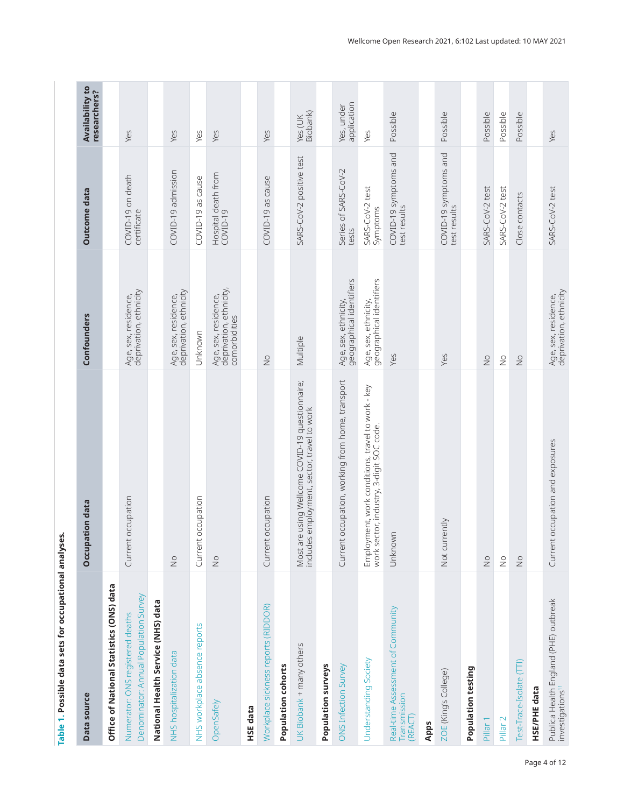<span id="page-3-0"></span>

| Data source                                                               | Occupation data                                                                                                                      | Confounders                                                      | Outcome data                          | <b>Availability to</b><br>researchers? |
|---------------------------------------------------------------------------|--------------------------------------------------------------------------------------------------------------------------------------|------------------------------------------------------------------|---------------------------------------|----------------------------------------|
| Office of National Statistics (ONS) data                                  |                                                                                                                                      |                                                                  |                                       |                                        |
| Denominator: Annual Population Survey<br>Numerator: ONS registered deaths | occupation<br>Current                                                                                                                | Age, sex, residence,<br>deprivation, ethnicity                   | COVID-19 on death<br>certificate      | Yes                                    |
| National Health Service (NHS) data                                        |                                                                                                                                      |                                                                  |                                       |                                        |
| NHS hospitalization data                                                  | $\frac{1}{2}$                                                                                                                        | deprivation, ethnicity<br>Age, sex, residence,                   | COVID-19 admission                    | Yes                                    |
| NHS workplace absence reports                                             | occupation<br>Current                                                                                                                | Unknown                                                          | COVID-19 as cause                     | Yes                                    |
| OpenSafely                                                                | $\stackrel{\circ}{\geq}$                                                                                                             | Age, sex, residence,<br>deprivation, ethnicity,<br>comorbidities | Hospital death from<br>COVID-19       | Yes                                    |
| <b>HSE</b> data                                                           |                                                                                                                                      |                                                                  |                                       |                                        |
| Workplace sickness reports (RIDDOR)                                       | occupation<br>Current                                                                                                                | $\frac{1}{2}$                                                    | COVID-19 as cause                     | Yes                                    |
| Population cohorts                                                        |                                                                                                                                      |                                                                  |                                       |                                        |
| UK Biobank + many others                                                  | Most are using Wellcome COVID-19 questionnaire;<br>includes employment, sector, travel to work<br>employment, sector, travel to work | Multiple                                                         | SARS-CoV-2 positive test              | Yes (UK<br>Biobank)                    |
| Population surveys                                                        |                                                                                                                                      |                                                                  |                                       |                                        |
| ONS Infection Survey                                                      | occupation, working from home, transport<br>Current                                                                                  | geographical identifiers<br>Age, sex, ethnicity,                 | Series of SARS-CoV-2<br>tests         | application<br>Yes, under              |
| Understanding Society                                                     | Employment, work conditions, travel to work - key<br>work sector, industry, 3-digit SOC code.                                        | geographical identifiers<br>Age, sex, ethnicity,                 | SARS-CoV-2 test<br>Symptoms           | Yes                                    |
| Real-time Assessment of Community<br>Transmission<br>(REACT)              | Unknown                                                                                                                              | Yes                                                              | COVID-19 symptoms and<br>test results | Possible                               |
| Apps                                                                      |                                                                                                                                      |                                                                  |                                       |                                        |
| ZOE (King's College)                                                      | Not currently                                                                                                                        | Yes                                                              | COVID-19 symptoms and<br>test results | Possible                               |
| Population testing                                                        |                                                                                                                                      |                                                                  |                                       |                                        |
| Pillar <sub>1</sub>                                                       | $\frac{1}{2}$                                                                                                                        | $\frac{1}{2}$                                                    | SARS-CoV-2 test                       | Possible                               |
| Pillar <sub>2</sub>                                                       | $\stackrel{\circ}{\simeq}$                                                                                                           | $\frac{0}{2}$                                                    | SARS-CoV-2 test                       | Possible                               |
| Test-Trace-Isolate (TTI)                                                  | $\stackrel{\circ}{\simeq}$                                                                                                           | $\frac{1}{2}$                                                    | Close contacts                        | Possible                               |
| <b>HSE/PHE data</b>                                                       |                                                                                                                                      |                                                                  |                                       |                                        |
| Publica Health England (PHE) outbreak<br>investigations <sup>11</sup>     | occupation and exposures<br>Current                                                                                                  | Age, sex, residence,<br>deprivation, ethnicity                   | SARS-CoV-2 test                       | Yes                                    |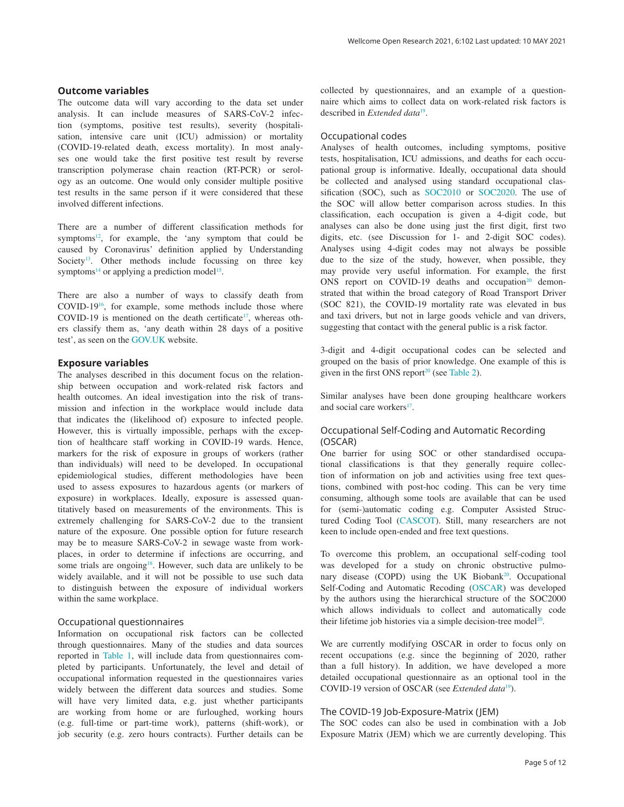The outcome data will vary according to the data set under analysis. It can include measures of SARS-CoV-2 infection (symptoms, positive test results), severity (hospitalisation, intensive care unit (ICU) admission) or mortality (COVID-19-related death, excess mortality). In most analyses one would take the first positive test result by reverse transcription polymerase chain reaction (RT-PCR) or serology as an outcome. One would only consider multiple positive test results in the same person if it were considered that these involved different infections.

There are a number of different classification methods for symptoms<sup>12</sup>, for example, the 'any symptom that could be caused by Coronavirus' definition applied by Understanding Society<sup>13</sup>. Other methods include focussing on three key symptoms<sup>14</sup> or applying a prediction model<sup>15</sup>.

There are also a number of ways to classify death from COVID-19[16,](#page-11-0) for example, some methods include those where COVID-19 is mentioned on the death certificate<sup>17</sup>, whereas others classify them as, 'any death within 28 days of a positive test', as seen on the [GOV.UK](https://coronavirus.data.gov.uk/details/deaths) website.

# **Exposure variables**

The analyses described in this document focus on the relationship between occupation and work-related risk factors and health outcomes. An ideal investigation into the risk of transmission and infection in the workplace would include data that indicates the (likelihood of) exposure to infected people. However, this is virtually impossible, perhaps with the exception of healthcare staff working in COVID-19 wards. Hence, markers for the risk of exposure in groups of workers (rather than individuals) will need to be developed. In occupational epidemiological studies, different methodologies have been used to assess exposures to hazardous agents (or markers of exposure) in workplaces. Ideally, exposure is assessed quantitatively based on measurements of the environments. This is extremely challenging for SARS-CoV-2 due to the transient nature of the exposure. One possible option for future research may be to measure SARS-CoV-2 in sewage waste from workplaces, in order to determine if infections are occurring, and some trials are ongoing<sup>18</sup>. However, such data are unlikely to be widely available, and it will not be possible to use such data to distinguish between the exposure of individual workers within the same workplace.

## Occupational questionnaires

Information on occupational risk factors can be collected through questionnaires. Many of the studies and data sources reported in [Table 1](#page-3-0), will include data from questionnaires completed by participants. Unfortunately, the level and detail of occupational information requested in the questionnaires varies widely between the different data sources and studies. Some will have very limited data, e.g. just whether participants are working from home or are furloughed, working hours (e.g. full-time or part-time work), patterns (shift-work), or job security (e.g. zero hours contracts). Further details can be

collected by questionnaires, and an example of a questionnaire which aims to collect data on work-related risk factors is described in *Extended data*[19.](#page-11-0)

## Occupational codes

Analyses of health outcomes, including symptoms, positive tests, hospitalisation, ICU admissions, and deaths for each occupational group is informative. Ideally, occupational data should be collected and analysed using standard occupational classification (SOC), such as [SOC2010](https://www.ons.gov.uk/methodology/classificationsandstandards/standardoccupationalclassificationsoc/soc2010) or [SOC2020](https://www.ons.gov.uk/methodology/classificationsandstandards/standardoccupationalclassificationsoc/soc2020). The use of the SOC will allow better comparison across studies. In this classification, each occupation is given a 4-digit code, but analyses can also be done using just the first digit, first two digits, etc. (see Discussion for 1- and 2-digit SOC codes). Analyses using 4-digit codes may not always be possible due to the size of the study, however, when possible, they may provide very useful information. For example, the first ONS report on COVID-19 deaths and occupation<sup>20</sup> demonstrated that within the broad category of Road Transport Driver (SOC 821), the COVID-19 mortality rate was elevated in bus and taxi drivers, but not in large goods vehicle and van drivers, suggesting that contact with the general public is a risk factor.

3-digit and 4-digit occupational codes can be selected and grouped on the basis of prior knowledge. One example of this is given in the first ONS report<sup>20</sup> (see [Table 2\)](#page-5-0).

Similar analyses have been done grouping healthcare workers and social care workers $17$ .

# Occupational Self-Coding and Automatic Recording (OSCAR)

One barrier for using SOC or other standardised occupational classifications is that they generally require collection of information on job and activities using free text questions, combined with post-hoc coding. This can be very time consuming, although some tools are available that can be used for (semi-)automatic coding e.g. Computer Assisted Structured Coding Tool [\(CASCOT\)](https://warwick.ac.uk/fac/soc/ier/software/cascot). Still, many researchers are not keen to include open-ended and free text questions.

To overcome this problem, an occupational self-coding tool was developed for a study on chronic obstructive pulmonary disease (COPD) using the UK Biobank<sup>20</sup>. Occupational Self-Coding and Automatic Recoding ([OSCAR\)](https://www.lungsatwork.org.uk/publications/occupational-self-coding-and-automatic-recording-oscar-novel-web-based-tool-collect-and) was developed by the authors using the hierarchical structure of the SOC2000 which allows individuals to collect and automatically code their lifetime job histories via a simple decision-tree model<sup>20</sup>.

We are currently modifying OSCAR in order to focus only on recent occupations (e.g. since the beginning of 2020, rather than a full history). In addition, we have developed a more detailed occupational questionnaire as an optional tool in the COVID-[19](#page-11-0) version of OSCAR (see *Extended data*<sup>19</sup>).

# The COVID-19 Job-Exposure-Matrix (JEM)

The SOC codes can also be used in combination with a Job Exposure Matrix (JEM) which we are currently developing. This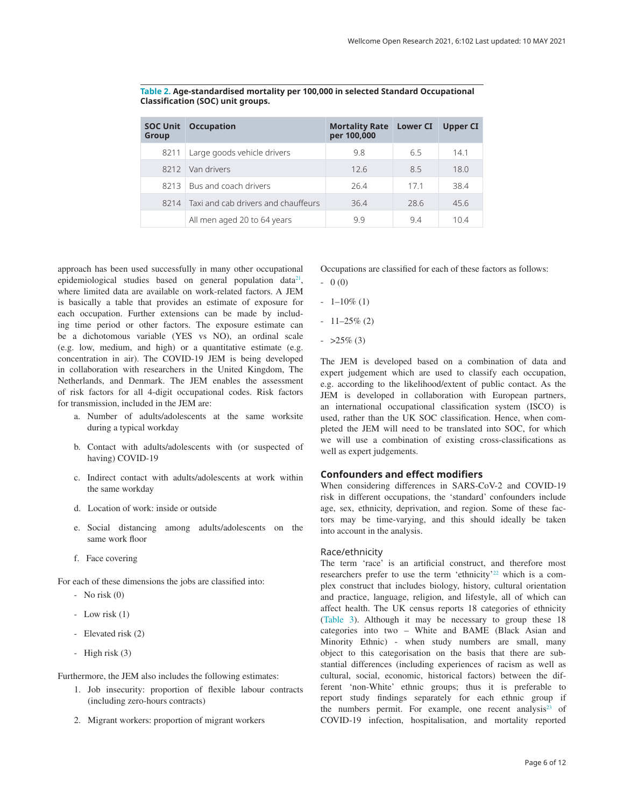| <b>SOC Unit</b><br><b>Group</b> | <b>Occupation</b>                   | <b>Mortality Rate</b><br>per 100,000 | <b>Lower CI</b> | Upper CI |
|---------------------------------|-------------------------------------|--------------------------------------|-----------------|----------|
| 8211                            | Large goods vehicle drivers         | 9.8                                  | 65              | 141      |
| 8212                            | Van drivers                         | 126                                  | 85              | 18.0     |
| 8213                            | Bus and coach drivers               | 264                                  | 171             | 384      |
| 8214                            | Taxi and cab drivers and chauffeurs | 36.4                                 | 28.6            | 45.6     |
|                                 | All men aged 20 to 64 years         | 99                                   | 94              | 104      |

<span id="page-5-0"></span>**Table 2. Age-standardised mortality per 100,000 in selected Standard Occupational Classification (SOC) unit groups.**

approach has been used successfully in many other occupational epidemiological studies based on general population data<sup>21</sup>, where limited data are available on work-related factors. A JEM is basically a table that provides an estimate of exposure for each occupation. Further extensions can be made by including time period or other factors. The exposure estimate can be a dichotomous variable (YES vs NO), an ordinal scale (e.g. low, medium, and high) or a quantitative estimate (e.g. concentration in air). The COVID-19 JEM is being developed in collaboration with researchers in the United Kingdom, The Netherlands, and Denmark. The JEM enables the assessment of risk factors for all 4-digit occupational codes. Risk factors for transmission, included in the JEM are:

- a. Number of adults/adolescents at the same worksite during a typical workday
- b. Contact with adults/adolescents with (or suspected of having) COVID-19
- c. Indirect contact with adults/adolescents at work within the same workday
- d. Location of work: inside or outside
- e. Social distancing among adults/adolescents on the same work floor
- f. Face covering

For each of these dimensions the jobs are classified into:

- $-$  No risk  $(0)$
- Low risk (1)
- Elevated risk (2)
- High risk (3)

Furthermore, the JEM also includes the following estimates:

- 1. Job insecurity: proportion of flexible labour contracts (including zero-hours contracts)
- 2. Migrant workers: proportion of migrant workers

Occupations are classified for each of these factors as follows:  $- 0 (0)$ 

- $-1-10\%$  (1)
- $-11-25\%$  (2)
- $-$  >25\% (3)

The JEM is developed based on a combination of data and expert judgement which are used to classify each occupation, e.g. according to the likelihood/extent of public contact. As the JEM is developed in collaboration with European partners, an international occupational classification system (ISCO) is used, rather than the UK SOC classification. Hence, when completed the JEM will need to be translated into SOC, for which we will use a combination of existing cross-classifications as well as expert judgements.

# **Confounders and effect modifiers**

When considering differences in SARS-CoV-2 and COVID-19 risk in different occupations, the 'standard' confounders include age, sex, ethnicity, deprivation, and region. Some of these factors may be time-varying, and this should ideally be taken into account in the analysis.

## Race/ethnicity

The term 'race' is an artificial construct, and therefore most researchers prefer to use the term 'ethnicity'<sup>22</sup> which is a complex construct that includes biology, history, cultural orientation and practice, language, religion, and lifestyle, all of which can affect health. The UK census reports 18 categories of ethnicity ([Table 3](#page-6-0)). Although it may be necessary to group these 18 categories into two – White and BAME (Black Asian and Minority Ethnic) - when study numbers are small, many object to this categorisation on the basis that there are substantial differences (including experiences of racism as well as cultural, social, economic, historical factors) between the different 'non-White' ethnic groups; thus it is preferable to report study findings separately for each ethnic group if the numbers permit. For example, one recent analysis<sup>23</sup> of COVID-19 infection, hospitalisation, and mortality reported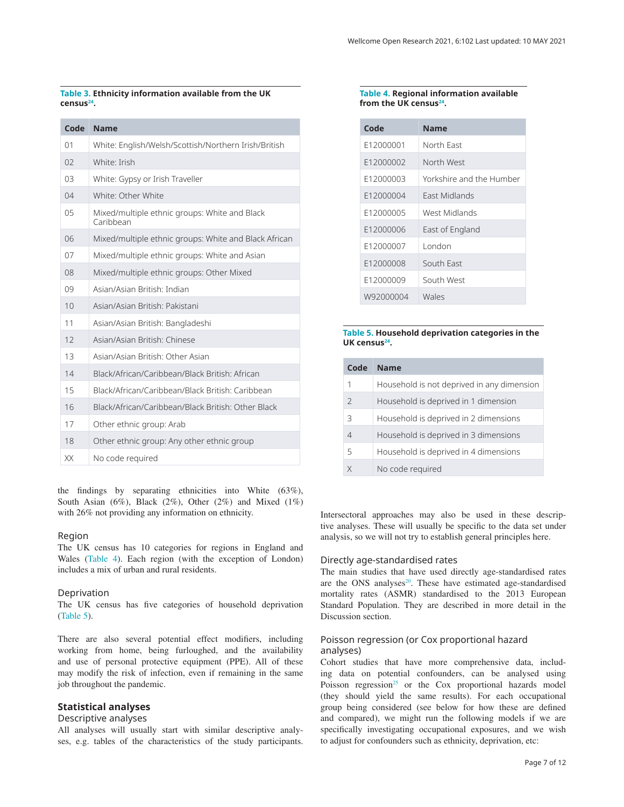#### <span id="page-6-0"></span>**Table 3. Ethnicity information available from the UK censu[s24.](#page-11-0)**

| Code           | <b>Name</b>                                                |
|----------------|------------------------------------------------------------|
| 01             | White: English/Welsh/Scottish/Northern Irish/British       |
| 0 <sub>2</sub> | White <sup>·</sup> Irish                                   |
| 03             | White: Gypsy or Irish Traveller                            |
| 04             | White: Other White                                         |
| 0 <sub>5</sub> | Mixed/multiple ethnic groups: White and Black<br>Caribbean |
| 06             | Mixed/multiple ethnic groups: White and Black African      |
| 07             | Mixed/multiple ethnic groups: White and Asian              |
| 08             | Mixed/multiple ethnic groups: Other Mixed                  |
| 09             | Asian/Asian British: Indian                                |
| 10             | Asian/Asian British: Pakistani                             |
| 11             | Asian/Asian British: Bangladeshi                           |
| 12             | Asian/Asian British: Chinese                               |
| 13             | Asian/Asian British: Other Asian                           |
| 14             | Black/African/Caribbean/Black British: African             |
| 15             | Black/African/Caribbean/Black British: Caribbean           |
| 16             | Black/African/Caribbean/Black British: Other Black         |
| 17             | Other ethnic group: Arab                                   |
| 18             | Other ethnic group: Any other ethnic group                 |
| XX             | No code required                                           |

the findings by separating ethnicities into White (63%), South Asian (6%), Black (2%), Other (2%) and Mixed (1%) with 26% not providing any information on ethnicity.

#### Region

The UK census has 10 categories for regions in England and Wales (Table 4). Each region (with the exception of London) includes a mix of urban and rural residents.

## Deprivation

The UK census has five categories of household deprivation (Table 5).

There are also several potential effect modifiers, including working from home, being furloughed, and the availability and use of personal protective equipment (PPE). All of these may modify the risk of infection, even if remaining in the same job throughout the pandemic.

# **Statistical analyses**

#### Descriptive analyses

All analyses will usually start with similar descriptive analyses, e.g. tables of the characteristics of the study participants.

#### **Table 4. Regional information available from the UK census[24](#page-11-0).**

| Code      | <b>Name</b>              |
|-----------|--------------------------|
| F12000001 | North Fast               |
| F12000002 | North West               |
| F12000003 | Yorkshire and the Humber |
| F12000004 | <b>Fast Midlands</b>     |
| F12000005 | West Midlands            |
| F12000006 | East of England          |
| F12000007 | London                   |
| F12000008 | South East               |
| F12000009 | South West               |
| W92000004 | Wales                    |

## **Table 5. Household deprivation categories in the UK census[24.](#page-11-0)**

| Code           | <b>Name</b>                                |
|----------------|--------------------------------------------|
| 1              | Household is not deprived in any dimension |
| $\mathcal{P}$  | Household is deprived in 1 dimension       |
| 3              | Household is deprived in 2 dimensions      |
| $\overline{4}$ | Household is deprived in 3 dimensions      |
| 5              | Household is deprived in 4 dimensions      |
|                | No code required                           |

Intersectoral approaches may also be used in these descriptive analyses. These will usually be specific to the data set under analysis, so we will not try to establish general principles here.

### Directly age-standardised rates

The main studies that have used directly age-standardised rates are the ONS analyses<sup>[20](#page-11-0)</sup>. These have estimated age-standardised mortality rates (ASMR) standardised to the 2013 European Standard Population. They are described in more detail in the Discussion section.

## Poisson regression (or Cox proportional hazard analyses)

Cohort studies that have more comprehensive data, including data on potential confounders, can be analysed using Poisson regression<sup>25</sup> or the Cox proportional hazards model (they should yield the same results). For each occupational group being considered (see below for how these are defined and compared), we might run the following models if we are specifically investigating occupational exposures, and we wish to adjust for confounders such as ethnicity, deprivation, etc: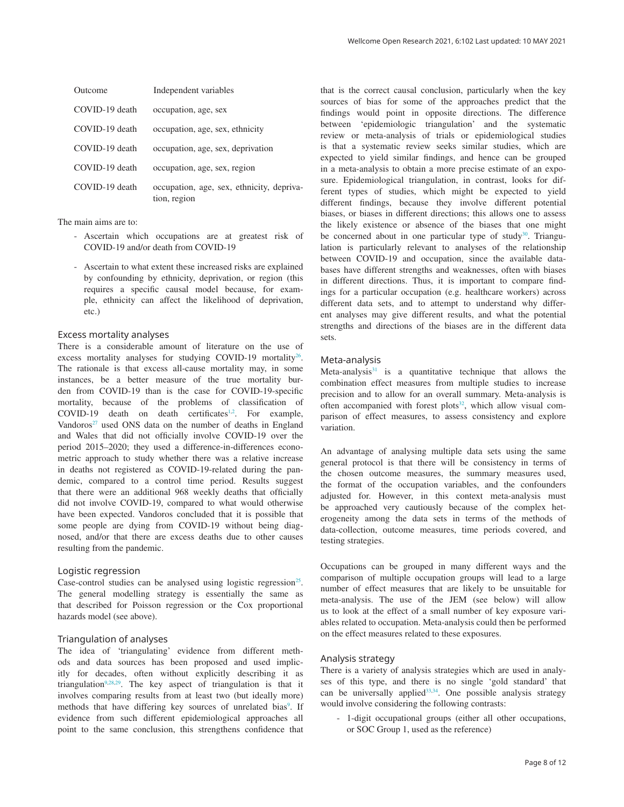| Outcome        | Independent variables                                     |
|----------------|-----------------------------------------------------------|
| COVID-19 death | occupation, age, sex                                      |
| COVID-19 death | occupation, age, sex, ethnicity                           |
| COVID-19 death | occupation, age, sex, deprivation                         |
| COVID-19 death | occupation, age, sex, region                              |
| COVID-19 death | occupation, age, sex, ethnicity, depriva-<br>tion, region |

#### The main aims are to:

- Ascertain which occupations are at greatest risk of COVID-19 and/or death from COVID-19
- Ascertain to what extent these increased risks are explained by confounding by ethnicity, deprivation, or region (this requires a specific causal model because, for example, ethnicity can affect the likelihood of deprivation, etc.)

#### Excess mortality analyses

There is a considerable amount of literature on the use of excess mortality analyses for studying COVID-19 mortality<sup>26</sup>. The rationale is that excess all-cause mortality may, in some instances, be a better measure of the true mortality burden from COVID-19 than is the case for COVID-19-specific mortality, because of the problems of classification of COVID-19 death on death certificates<sup>[1,2](#page-11-0)</sup>. For example, Vandoros $27$  used ONS data on the number of deaths in England and Wales that did not officially involve COVID-19 over the period 2015–2020; they used a difference-in-differences econometric approach to study whether there was a relative increase in deaths not registered as COVID-19-related during the pandemic, compared to a control time period. Results suggest that there were an additional 968 weekly deaths that officially did not involve COVID-19, compared to what would otherwise have been expected. Vandoros concluded that it is possible that some people are dying from COVID-19 without being diagnosed, and/or that there are excess deaths due to other causes resulting from the pandemic.

# Logistic regression

Case-control studies can be analysed using logistic regression<sup>25</sup>. The general modelling strategy is essentially the same as that described for Poisson regression or the Cox proportional hazards model (see above).

## Triangulation of analyses

The idea of 'triangulating' evidence from different methods and data sources has been proposed and used implicitly for decades, often without explicitly describing it as triangulation[9](#page-11-0),[28,29](#page-11-0). The key aspect of triangulation is that it involves comparing results from at least two (but ideally more) methods that have differing key sources of unrelated bias<sup>[9](#page-11-0)</sup>. If evidence from such different epidemiological approaches all point to the same conclusion, this strengthens confidence that that is the correct causal conclusion, particularly when the key sources of bias for some of the approaches predict that the findings would point in opposite directions. The difference between 'epidemiologic triangulation' and the systematic review or meta-analysis of trials or epidemiological studies is that a systematic review seeks similar studies, which are expected to yield similar findings, and hence can be grouped in a meta-analysis to obtain a more precise estimate of an exposure. Epidemiological triangulation, in contrast, looks for different types of studies, which might be expected to yield different findings, because they involve different potential biases, or biases in different directions; this allows one to assess the likely existence or absence of the biases that one might be concerned about in one particular type of study<sup>30</sup>. Triangulation is particularly relevant to analyses of the relationship between COVID-19 and occupation, since the available databases have different strengths and weaknesses, often with biases in different directions. Thus, it is important to compare findings for a particular occupation (e.g. healthcare workers) across different data sets, and to attempt to understand why different analyses may give different results, and what the potential strengths and directions of the biases are in the different data sets.

#### Meta-analysis

Meta-analysis $31$  is a quantitative technique that allows the combination effect measures from multiple studies to increase precision and to allow for an overall summary. Meta-analysis is often accompanied with forest plots<sup>32</sup>, which allow visual comparison of effect measures, to assess consistency and explore variation.

An advantage of analysing multiple data sets using the same general protocol is that there will be consistency in terms of the chosen outcome measures, the summary measures used, the format of the occupation variables, and the confounders adjusted for. However, in this context meta-analysis must be approached very cautiously because of the complex heterogeneity among the data sets in terms of the methods of data-collection, outcome measures, time periods covered, and testing strategies.

Occupations can be grouped in many different ways and the comparison of multiple occupation groups will lead to a large number of effect measures that are likely to be unsuitable for meta-analysis. The use of the JEM (see below) will allow us to look at the effect of a small number of key exposure variables related to occupation. Meta-analysis could then be performed on the effect measures related to these exposures.

## Analysis strategy

There is a variety of analysis strategies which are used in analyses of this type, and there is no single 'gold standard' that can be universally applied<sup>33,34</sup>. One possible analysis strategy would involve considering the following contrasts:

- 1-digit occupational groups (either all other occupations, or SOC Group 1, used as the reference)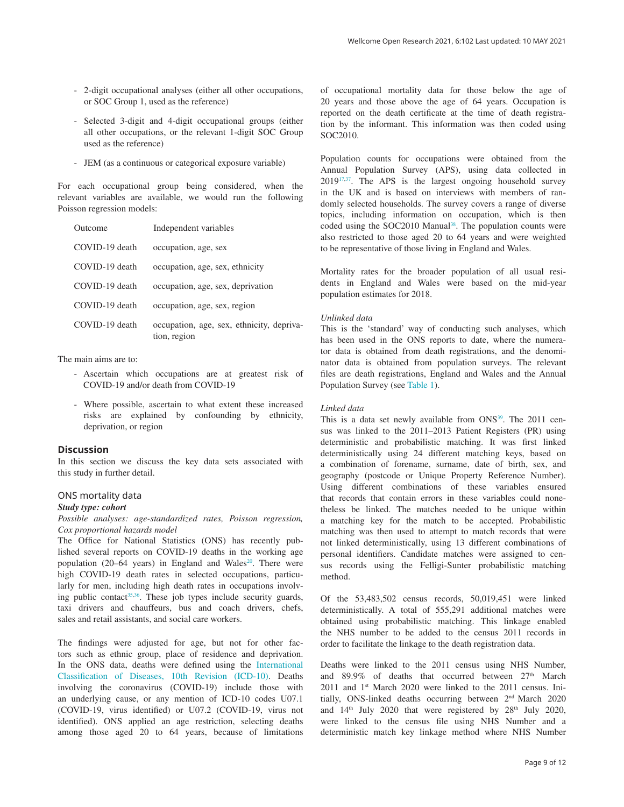- 2-digit occupational analyses (either all other occupations, or SOC Group 1, used as the reference)
- Selected 3-digit and 4-digit occupational groups (either all other occupations, or the relevant 1-digit SOC Group used as the reference)
- JEM (as a continuous or categorical exposure variable)

For each occupational group being considered, when the relevant variables are available, we would run the following Poisson regression models:

| Outcome        | Independent variables                                     |
|----------------|-----------------------------------------------------------|
| COVID-19 death | occupation, age, sex                                      |
| COVID-19 death | occupation, age, sex, ethnicity                           |
| COVID-19 death | occupation, age, sex, deprivation                         |
| COVID-19 death | occupation, age, sex, region                              |
| COVID-19 death | occupation, age, sex, ethnicity, depriva-<br>tion, region |

#### The main aims are to:

- Ascertain which occupations are at greatest risk of COVID-19 and/or death from COVID-19
- Where possible, ascertain to what extent these increased risks are explained by confounding by ethnicity, deprivation, or region

### **Discussion**

In this section we discuss the key data sets associated with this study in further detail.

### ONS mortality data

#### *Study type: cohort*

*Possible analyses: age-standardized rates, Poisson regression, Cox proportional hazards model*

The Office for National Statistics (ONS) has recently published several reports on COVID-19 deaths in the working age population (20–64 years) in England and Wales $20$ . There were high COVID-19 death rates in selected occupations, particularly for men, including high death rates in occupations involving public contact<sup>35,36</sup>. These job types include security guards, taxi drivers and chauffeurs, bus and coach drivers, chefs, sales and retail assistants, and social care workers.

The findings were adjusted for age, but not for other factors such as ethnic group, place of residence and deprivation. In the ONS data, deaths were defined using the [International](https://icd.who.int/browse10/2010/en)  [Classification of Diseases, 10th Revision \(ICD-10\)](https://icd.who.int/browse10/2010/en). Deaths involving the coronavirus (COVID-19) include those with an underlying cause, or any mention of ICD-10 codes U07.1 (COVID-19, virus identified) or U07.2 (COVID-19, virus not identified). ONS applied an age restriction, selecting deaths among those aged 20 to 64 years, because of limitations

of occupational mortality data for those below the age of 20 years and those above the age of 64 years. Occupation is reported on the death certificate at the time of death registration by the informant. This information was then coded using SOC2010.

Population counts for occupations were obtained from the Annual Population Survey (APS), using data collected in 2019[17,37](#page-11-0). The APS is the largest ongoing household survey in the UK and is based on interviews with members of randomly selected households. The survey covers a range of diverse topics, including information on occupation, which is then coded using the SOC2010 Manual<sup>38</sup>. The population counts were also restricted to those aged 20 to 64 years and were weighted to be representative of those living in England and Wales.

Mortality rates for the broader population of all usual residents in England and Wales were based on the mid-year population estimates for 2018.

#### *Unlinked data*

This is the 'standard' way of conducting such analyses, which has been used in the ONS reports to date, where the numerator data is obtained from death registrations, and the denominator data is obtained from population surveys. The relevant files are death registrations, England and Wales and the Annual Population Survey (see [Table 1](#page-3-0)).

#### *Linked data*

This is a data set newly available from ONS<sup>39</sup>. The 2011 census was linked to the 2011–2013 Patient Registers (PR) using deterministic and probabilistic matching. It was first linked deterministically using 24 different matching keys, based on a combination of forename, surname, date of birth, sex, and geography (postcode or Unique Property Reference Number). Using different combinations of these variables ensured that records that contain errors in these variables could nonetheless be linked. The matches needed to be unique within a matching key for the match to be accepted. Probabilistic matching was then used to attempt to match records that were not linked deterministically, using 13 different combinations of personal identifiers. Candidate matches were assigned to census records using the Felligi-Sunter probabilistic matching method.

Of the 53,483,502 census records, 50,019,451 were linked deterministically. A total of 555,291 additional matches were obtained using probabilistic matching. This linkage enabled the NHS number to be added to the census 2011 records in order to facilitate the linkage to the death registration data.

Deaths were linked to the 2011 census using NHS Number, and 89.9% of deaths that occurred between  $27<sup>th</sup>$  March 2011 and 1<sup>st</sup> March 2020 were linked to the 2011 census. Initially, ONS-linked deaths occurring between 2nd March 2020 and  $14<sup>th</sup>$  July 2020 that were registered by  $28<sup>th</sup>$  July 2020, were linked to the census file using NHS Number and a deterministic match key linkage method where NHS Number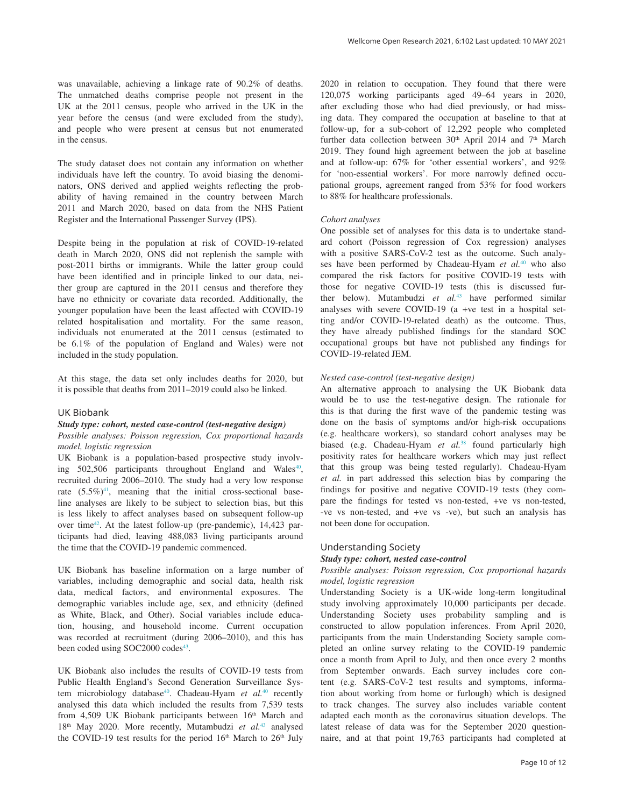was unavailable, achieving a linkage rate of 90.2% of deaths. The unmatched deaths comprise people not present in the UK at the 2011 census, people who arrived in the UK in the year before the census (and were excluded from the study), and people who were present at census but not enumerated in the census.

The study dataset does not contain any information on whether individuals have left the country. To avoid biasing the denominators, ONS derived and applied weights reflecting the probability of having remained in the country between March 2011 and March 2020, based on data from the NHS Patient Register and the International Passenger Survey (IPS).

Despite being in the population at risk of COVID-19-related death in March 2020, ONS did not replenish the sample with post-2011 births or immigrants. While the latter group could have been identified and in principle linked to our data, neither group are captured in the 2011 census and therefore they have no ethnicity or covariate data recorded. Additionally, the younger population have been the least affected with COVID-19 related hospitalisation and mortality. For the same reason, individuals not enumerated at the 2011 census (estimated to be 6.1% of the population of England and Wales) were not included in the study population.

At this stage, the data set only includes deaths for 2020, but it is possible that deaths from 2011–2019 could also be linked.

#### UK Biobank

#### *Study type: cohort, nested case-control (test-negative design)*

*Possible analyses: Poisson regression, Cox proportional hazards model, logistic regression*

UK Biobank is a population-based prospective study involving 502,506 participants throughout England and Wales<sup>40</sup>, recruited during 2006–2010. The study had a very low response rate  $(5.5\%)$ <sup>41</sup>, meaning that the initial cross-sectional baseline analyses are likely to be subject to selection bias, but this is less likely to affect analyses based on subsequent follow-up over time<sup>42</sup>. At the latest follow-up (pre-pandemic), 14,423 participants had died, leaving 488,083 living participants around the time that the COVID-19 pandemic commenced.

UK Biobank has baseline information on a large number of variables, including demographic and social data, health risk data, medical factors, and environmental exposures. The demographic variables include age, sex, and ethnicity (defined as White, Black, and Other). Social variables include education, housing, and household income. Current occupation was recorded at recruitment (during 2006–2010), and this has been coded using SOC2000 codes<sup>43</sup>.

UK Biobank also includes the results of COVID-19 tests from Public Health England's Second Generation Surveillance System microbiology database<sup>40</sup>. Chadeau-Hyam et al.<sup>40</sup> recently analysed this data which included the results from 7,539 tests from 4,509 UK Biobank participants between  $16<sup>th</sup>$  March and 18th May 2020. More recently, Mutambudzi *et al.*[43](#page-11-0) analysed the COVID-19 test results for the period  $16<sup>th</sup>$  March to  $26<sup>th</sup>$  July

2020 in relation to occupation. They found that there were 120,075 working participants aged 49–64 years in 2020, after excluding those who had died previously, or had missing data. They compared the occupation at baseline to that at follow-up, for a sub-cohort of 12,292 people who completed further data collection between 30<sup>th</sup> April 2014 and 7<sup>th</sup> March 2019. They found high agreement between the job at baseline and at follow-up: 67% for 'other essential workers', and 92% for 'non-essential workers'. For more narrowly defined occupational groups, agreement ranged from 53% for food workers to 88% for healthcare professionals.

#### *Cohort analyses*

One possible set of analyses for this data is to undertake standard cohort (Poisson regression of Cox regression) analyses with a positive SARS-CoV-2 test as the outcome. Such analyses have been performed by Chadeau-Hyam *et al.*[40](#page-11-0) who also compared the risk factors for positive COVID-19 tests with those for negative COVID-19 tests (this is discussed further below). Mutambudzi *et al.*[43](#page-11-0) have performed similar analyses with severe COVID-19 (a +ve test in a hospital setting and/or COVID-19-related death) as the outcome. Thus, they have already published findings for the standard SOC occupational groups but have not published any findings for COVID-19-related JEM.

# *Nested case-control (test-negative design)*

An alternative approach to analysing the UK Biobank data would be to use the test-negative design. The rationale for this is that during the first wave of the pandemic testing was done on the basis of symptoms and/or high-risk occupations (e.g. healthcare workers), so standard cohort analyses may be biased (e.g. Chadeau-Hyam *et al.*[38](#page-11-0) found particularly high positivity rates for healthcare workers which may just reflect that this group was being tested regularly). Chadeau-Hyam *et al.* in part addressed this selection bias by comparing the findings for positive and negative COVID-19 tests (they compare the findings for tested vs non-tested, +ve vs non-tested, -ve vs non-tested, and +ve vs -ve), but such an analysis has not been done for occupation.

#### Understanding Society

#### *Study type: cohort, nested case-control*

## *Possible analyses: Poisson regression, Cox proportional hazards model, logistic regression*

Understanding Society is a UK-wide long-term longitudinal study involving approximately 10,000 participants per decade. Understanding Society uses probability sampling and is constructed to allow population inferences. From April 2020, participants from the main Understanding Society sample completed an online survey relating to the COVID-19 pandemic once a month from April to July, and then once every 2 months from September onwards. Each survey includes core content (e.g. SARS-CoV-2 test results and symptoms, information about working from home or furlough) which is designed to track changes. The survey also includes variable content adapted each month as the coronavirus situation develops. The latest release of data was for the September 2020 questionnaire, and at that point 19,763 participants had completed at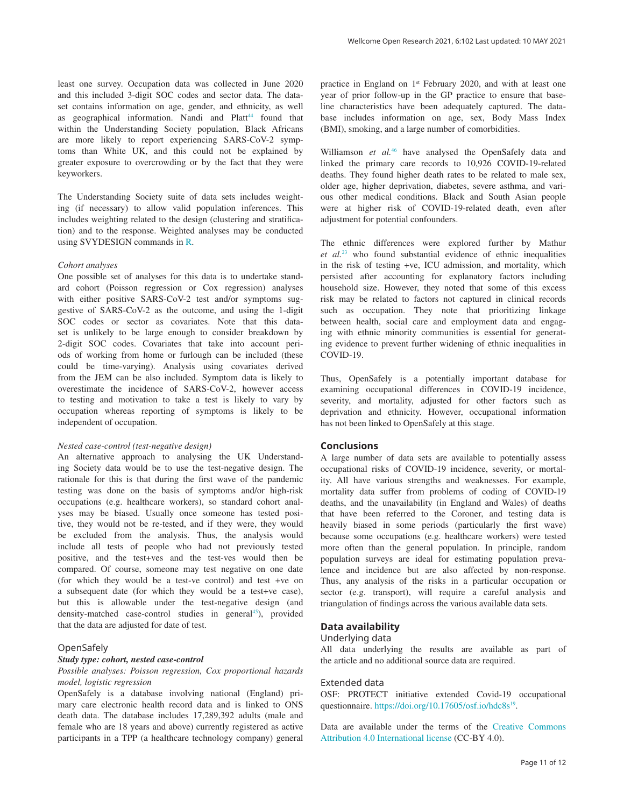least one survey. Occupation data was collected in June 2020 and this included 3-digit SOC codes and sector data. The dataset contains information on age, gender, and ethnicity, as well as geographical information. Nandi and  $Platt^{44}$  found that within the Understanding Society population, Black Africans are more likely to report experiencing SARS-CoV-2 symptoms than White UK, and this could not be explained by greater exposure to overcrowding or by the fact that they were keyworkers.

The Understanding Society suite of data sets includes weighting (if necessary) to allow valid population inferences. This includes weighting related to the design (clustering and stratification) and to the response. Weighted analyses may be conducted using SVYDESIGN commands in [R](https://www.r-project.org/).

#### *Cohort analyses*

One possible set of analyses for this data is to undertake standard cohort (Poisson regression or Cox regression) analyses with either positive SARS-CoV-2 test and/or symptoms suggestive of SARS-CoV-2 as the outcome, and using the 1-digit SOC codes or sector as covariates. Note that this dataset is unlikely to be large enough to consider breakdown by 2-digit SOC codes. Covariates that take into account periods of working from home or furlough can be included (these could be time-varying). Analysis using covariates derived from the JEM can be also included. Symptom data is likely to overestimate the incidence of SARS-CoV-2, however access to testing and motivation to take a test is likely to vary by occupation whereas reporting of symptoms is likely to be independent of occupation.

#### *Nested case-control (test-negative design)*

An alternative approach to analysing the UK Understanding Society data would be to use the test-negative design. The rationale for this is that during the first wave of the pandemic testing was done on the basis of symptoms and/or high-risk occupations (e.g. healthcare workers), so standard cohort analyses may be biased. Usually once someone has tested positive, they would not be re-tested, and if they were, they would be excluded from the analysis. Thus, the analysis would include all tests of people who had not previously tested positive, and the test+ves and the test-ves would then be compared. Of course, someone may test negative on one date (for which they would be a test-ve control) and test +ve on a subsequent date (for which they would be a test+ve case), but this is allowable under the test-negative design (and density-matched case-control studies in general<sup>[45](#page-11-0)</sup>), provided that the data are adjusted for date of test.

## OpenSafely

#### *Study type: cohort, nested case-control*

*Possible analyses: Poisson regression, Cox proportional hazards model, logistic regression*

OpenSafely is a database involving national (England) primary care electronic health record data and is linked to ONS death data. The database includes 17,289,392 adults (male and female who are 18 years and above) currently registered as active participants in a TPP (a healthcare technology company) general practice in England on 1<sup>st</sup> February 2020, and with at least one year of prior follow-up in the GP practice to ensure that baseline characteristics have been adequately captured. The database includes information on age, sex, Body Mass Index (BMI), smoking, and a large number of comorbidities.

Williamson *et al.*<sup>[46](#page-11-0)</sup> have analysed the OpenSafely data and linked the primary care records to 10,926 COVID-19-related deaths. They found higher death rates to be related to male sex, older age, higher deprivation, diabetes, severe asthma, and various other medical conditions. Black and South Asian people were at higher risk of COVID-19-related death, even after adjustment for potential confounders.

The ethnic differences were explored further by Mathur *et al.*[23](#page-11-0) who found substantial evidence of ethnic inequalities in the risk of testing +ve, ICU admission, and mortality, which persisted after accounting for explanatory factors including household size. However, they noted that some of this excess risk may be related to factors not captured in clinical records such as occupation. They note that prioritizing linkage between health, social care and employment data and engaging with ethnic minority communities is essential for generating evidence to prevent further widening of ethnic inequalities in COVID-19.

Thus, OpenSafely is a potentially important database for examining occupational differences in COVID-19 incidence, severity, and mortality, adjusted for other factors such as deprivation and ethnicity. However, occupational information has not been linked to OpenSafely at this stage.

## **Conclusions**

A large number of data sets are available to potentially assess occupational risks of COVID-19 incidence, severity, or mortality. All have various strengths and weaknesses. For example, mortality data suffer from problems of coding of COVID-19 deaths, and the unavailability (in England and Wales) of deaths that have been referred to the Coroner, and testing data is heavily biased in some periods (particularly the first wave) because some occupations (e.g. healthcare workers) were tested more often than the general population. In principle, random population surveys are ideal for estimating population prevalence and incidence but are also affected by non-response. Thus, any analysis of the risks in a particular occupation or sector (e.g. transport), will require a careful analysis and triangulation of findings across the various available data sets.

## **Data availability**

#### Underlying data

All data underlying the results are available as part of the article and no additional source data are required.

## Extended data

OSF: PROTECT initiative extended Covid-19 occupational questionnaire. <https://doi.org/10.17605/osf.io/hdc8s><sup>19</sup>.

Data are available under the terms of the [Creative Commons](https://creativecommons.org/licenses/by/4.0/legalcode)  [Attribution 4.0 International license](https://creativecommons.org/licenses/by/4.0/legalcode) (CC-BY 4.0).